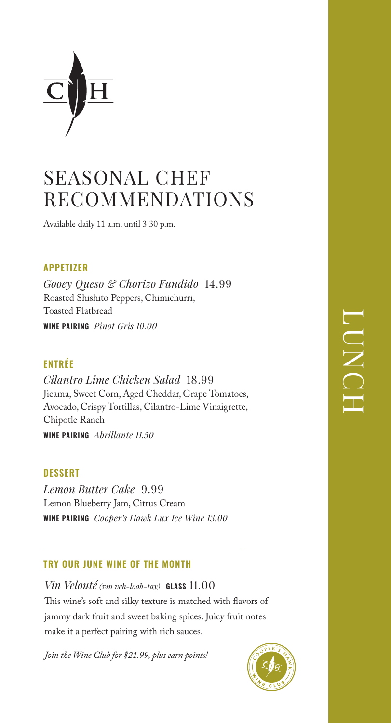

# SEASONAL CHEF RECOMMENDATIONS

Available daily 11 a.m. until 3:30 p.m.

## **APPETIZER**

*Gooey Queso & Chorizo Fundido* 14.99 Roasted Shishito Peppers, Chimichurri, Toasted Flatbread **WINE PAIRING** *Pinot Gris 10.00*

## **ENTRÉE**

*Cilantro Lime Chicken Salad* 18.99 Jicama, Sweet Corn, Aged Cheddar, Grape Tomatoes, Avocado, Crispy Tortillas, Cilantro-Lime Vinaigrette, Chipotle Ranch **WINE PAIRING** *Abrillante 11.50*

### **DESSERT**

*Lemon Butter Cake* 9.99 Lemon Blueberry Jam, Citrus Cream **WINE PAIRING** *Cooper's Hawk Lux Ice Wine 13.00*

### **TRY OUR JUNE WINE OF THE MONTH**

*Vin Velouté (vin veh-looh-tay)* **GLASS** 11.00 This wine's soft and silky texture is matched with flavors of jammy dark fruit and sweet baking spices. Juicy fruit notes make it a perfect pairing with rich sauces.

*Join the Wine Club for \$21.99, plus earn points!*